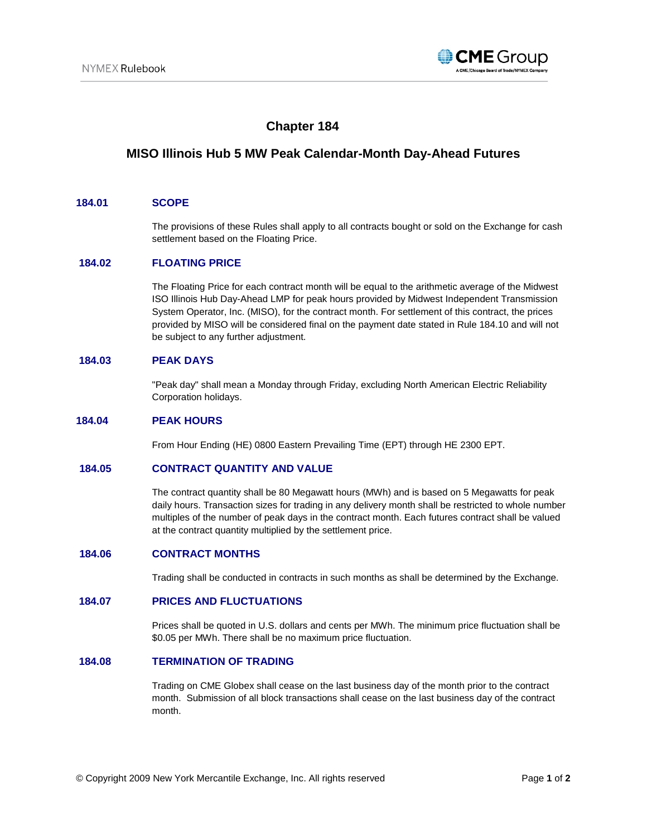

# **Chapter 184**

# **MISO Illinois Hub 5 MW Peak Calendar-Month Day-Ahead Futures**

### **184.01 SCOPE**

The provisions of these Rules shall apply to all contracts bought or sold on the Exchange for cash settlement based on the Floating Price.

## **184.02 FLOATING PRICE**

The Floating Price for each contract month will be equal to the arithmetic average of the Midwest ISO Illinois Hub Day-Ahead LMP for peak hours provided by Midwest Independent Transmission System Operator, Inc. (MISO), for the contract month. For settlement of this contract, the prices provided by MISO will be considered final on the payment date stated in Rule 184.10 and will not be subject to any further adjustment.

## **184.03 PEAK DAYS**

"Peak day" shall mean a Monday through Friday, excluding North American Electric Reliability Corporation holidays.

## **184.04 PEAK HOURS**

From Hour Ending (HE) 0800 Eastern Prevailing Time (EPT) through HE 2300 EPT.

#### **184.05 CONTRACT QUANTITY AND VALUE**

The contract quantity shall be 80 Megawatt hours (MWh) and is based on 5 Megawatts for peak daily hours. Transaction sizes for trading in any delivery month shall be restricted to whole number multiples of the number of peak days in the contract month. Each futures contract shall be valued at the contract quantity multiplied by the settlement price.

## **184.06 CONTRACT MONTHS**

Trading shall be conducted in contracts in such months as shall be determined by the Exchange.

## **184.07 PRICES AND FLUCTUATIONS**

Prices shall be quoted in U.S. dollars and cents per MWh. The minimum price fluctuation shall be \$0.05 per MWh. There shall be no maximum price fluctuation.

### **184.08 TERMINATION OF TRADING**

Trading on CME Globex shall cease on the last business day of the month prior to the contract month. Submission of all block transactions shall cease on the last business day of the contract month.